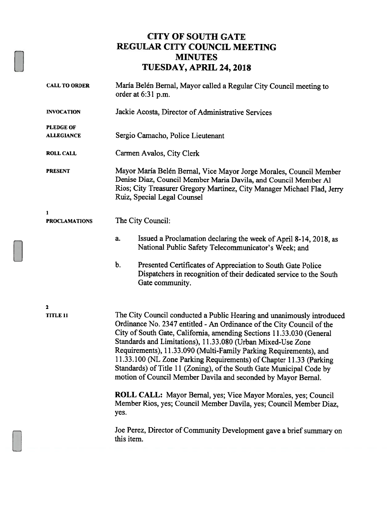### CITY OF SOUTH GATE REGULAR CITY COUNCIL MEETING **MINUTES** TUESDAY, APRIL 24,2018

| <b>CALL TO ORDER</b> | María Belén Bernal, Mayor called a Regular City Council meeting to<br>order at 6:31 p.m.                                                                                                                                                                                                                                                                                                                                                                                                                                                                                   |  |
|----------------------|----------------------------------------------------------------------------------------------------------------------------------------------------------------------------------------------------------------------------------------------------------------------------------------------------------------------------------------------------------------------------------------------------------------------------------------------------------------------------------------------------------------------------------------------------------------------------|--|
| <b>INVOCATION</b>    | Jackie Acosta, Director of Administrative Services                                                                                                                                                                                                                                                                                                                                                                                                                                                                                                                         |  |
| <b>PLEDGE OF</b>     |                                                                                                                                                                                                                                                                                                                                                                                                                                                                                                                                                                            |  |
| <b>ALLEGIANCE</b>    | Sergio Camacho, Police Lieutenant                                                                                                                                                                                                                                                                                                                                                                                                                                                                                                                                          |  |
| <b>ROLL CALL</b>     | Carmen Avalos, City Clerk                                                                                                                                                                                                                                                                                                                                                                                                                                                                                                                                                  |  |
| <b>PRESENT</b>       | Mayor María Belén Bernal, Vice Mayor Jorge Morales, Council Member<br>Denise Diaz, Council Member Maria Davila, and Council Member Al<br>Rios; City Treasurer Gregory Martinez, City Manager Michael Flad, Jerry<br>Ruiz, Special Legal Counsel                                                                                                                                                                                                                                                                                                                            |  |
| 1                    |                                                                                                                                                                                                                                                                                                                                                                                                                                                                                                                                                                            |  |
| <b>PROCLAMATIONS</b> | The City Council:                                                                                                                                                                                                                                                                                                                                                                                                                                                                                                                                                          |  |
|                      | Issued a Proclamation declaring the week of April 8-14, 2018, as<br>a.<br>National Public Safety Telecommunicator's Week; and                                                                                                                                                                                                                                                                                                                                                                                                                                              |  |
|                      | b.<br>Presented Certificates of Appreciation to South Gate Police<br>Dispatchers in recognition of their dedicated service to the South<br>Gate community.                                                                                                                                                                                                                                                                                                                                                                                                                 |  |
| $\mathbf{z}$         |                                                                                                                                                                                                                                                                                                                                                                                                                                                                                                                                                                            |  |
| <b>TITLE 11</b>      | The City Council conducted a Public Hearing and unanimously introduced<br>Ordinance No. 2347 entitled - An Ordinance of the City Council of the<br>City of South Gate, California, amending Sections 11.33.030 (General<br>Standards and Limitations), 11.33.080 (Urban Mixed-Use Zone<br>Requirements), 11.33.090 (Multi-Family Parking Requirements), and<br>11.33.100 (NL Zone Parking Requirements) of Chapter 11.33 (Parking<br>Standards) of Title 11 (Zoning), of the South Gate Municipal Code by<br>motion of Council Member Davila and seconded by Mayor Bernal. |  |
|                      | ROLL CALL: Mayor Bernal, yes; Vice Mayor Morales, yes; Council<br>Member Rios, yes; Council Member Davila, yes; Council Member Diaz,<br>yes.                                                                                                                                                                                                                                                                                                                                                                                                                               |  |
|                      | Joe Perez, Director of Community Development gave a brief summary on<br>this item.                                                                                                                                                                                                                                                                                                                                                                                                                                                                                         |  |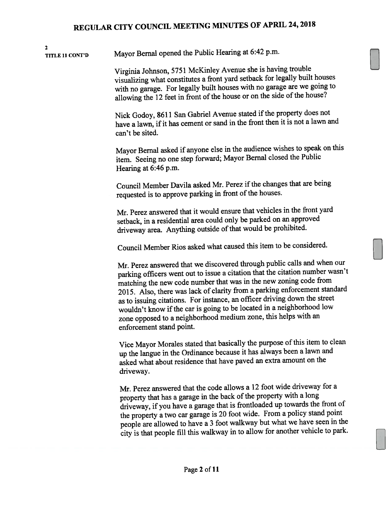2TITLE <sup>11</sup> CONT'D Mayor Bernal opene<sup>d</sup> the Public Hearing at 6:42 p.m.

> Virginia Johnson, <sup>5751</sup> McKinley Avenue she is having trouble visualizing what constitutes <sup>a</sup> front yar<sup>d</sup> setback for legally built houses with no garage. For legally built houses with no garage are we going to allowing the 12 feet in front of the house or on the side of the house?

Nick Godoy, 8611 San Gabriel Avenue stated if the property does not have a lawn, if it has cement or sand in the front then it is not a lawn and can't be sited.

Mayor Bernal asked if anyone else in the audience wishes to speak on this item. Seeing no one step forward; Mayor Bemal closed the Public Hearing at 6:46 p.m.

Council Member Davila asked Mr. Perez if the changes that are being requested is to approve parking in front of the houses.

Mr. Perez answered that it would ensure that vehicles in the front yar<sup>d</sup> setback, in <sup>a</sup> residential area could only be parked on an approve<sup>d</sup> driveway area. Anything outside of that would be prohibited.

Council Member Rios asked what caused this item to be considered.

Mr. Perez answered that we discovered through public calls and when our parking officers went out to issue <sup>a</sup> citation that the citation number wasn't matching the new code number that was in the new zoning code from 2015. Also, there was lack of clarity from <sup>a</sup> parking enforcement standard as to issuing citations. For instance, an officer driving down the street wouldn't know if the car is going to be located in a neighborhood low zone oppose<sup>d</sup> to <sup>a</sup> neighborhood medium zone, this helps with an enforcement stand point.

Vice Mayor Morales stated that basically the purpose of this item to clean up the langue in the Ordinance because it has always been <sup>a</sup> lawn and asked what about residence that have pave<sup>d</sup> an extra amount on the driveway.

Mr. Perez answered that the code allows <sup>a</sup> <sup>12</sup> foot wide driveway for <sup>a</sup> property that has a garage in the back of the property with a long driveway, if you have <sup>a</sup> garage that is frontloaded up towards the front of the property <sup>a</sup> two car garage is <sup>20</sup> foot wide. From <sup>a</sup> policy stand point people are allowed to have <sup>a</sup> <sup>3</sup> foot walkway but what we have seen in the city is that people fill this walkway in to allow for another vehicle to park.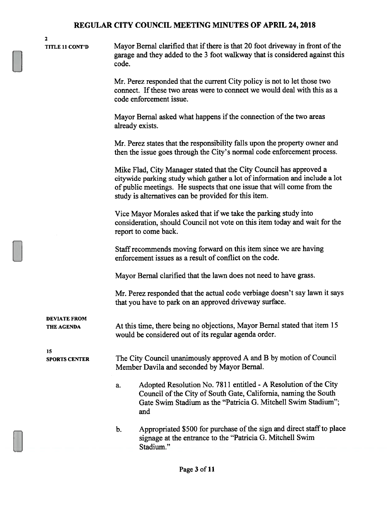2

TITLE <sup>11</sup> CONT'D Mayor Bemal clarified that ifthere is that 20 foot driveway in front ofthe garage and they added to the 3 foot walkway that is considered against this code.

> Mr. Perez responded that the current City policy is not to let those two connect. If these two areas were to connect we would deal with this as a code enforcement issue.

Mayor Bernal asked what happens if the connection of the two areas already exists.

Mr. Perez states that the responsibility falls upon the property owner and then the issue goes through the City's normal code enforcement process.

Mike Flad, City Manager stated that the City Council has approved a citywide parking study which gather a lot of information and include a lot of public meetings. He suspects that one issue that will come from the study is alternatives can be provided for this item.

Vice Mayor Morales asked that if we take the parking study into consideration, should Council not vote on this item today and wait for the report to come back.

Staff recommends moving forward on this item since we are having enforcement issues as a result of conflict on the code.

Mayor Bernal clarified that the lawn does not need to have grass.

Mr. Perez responded that the actual code verbiage doesn't say lawn it says that you have to park on an approved driveway surface.

DEVIATE FROM

THE AGENDA At this time, there being no objections, Mayor Bernal stated that item 15 would be considered out of its regular agenda order.

15

SPORTS CENTER The City Council unanimously approved A and B by motion of Council Member Davila and seconded by Mayor Bernal.

- a. Adopted Resolution No. 7811 entitled A Resolution of the City Council of the City of South Gate, California, naming the South Gate Swim Stadium as the "Patricia G. Mitchell Swim Stadium"; and
- b. Appropriated \$500 for purchase of the sign and direct staff to place signage at the entrance to the "Patricia G. Mitchell Swim Stadium."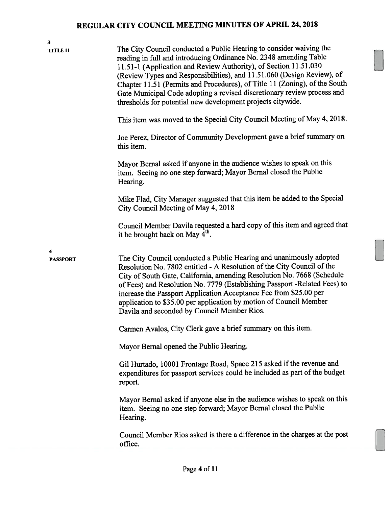| $\overline{\mathbf{3}}$<br><b>TITLE 11</b> | The City Council conducted a Public Hearing to consider waiving the<br>reading in full and introducing Ordinance No. 2348 amending Table<br>11.51-1 (Application and Review Authority), of Section 11.51.030<br>(Review Types and Responsibilities), and 11.51.060 (Design Review), of<br>Chapter 11.51 (Permits and Procedures), of Title 11 (Zoning), of the South<br>Gate Municipal Code adopting a revised discretionary review process and<br>thresholds for potential new development projects citywide.<br>This item was moved to the Special City Council Meeting of May 4, 2018.<br>Joe Perez, Director of Community Development gave a brief summary on<br>this item.<br>Mayor Bernal asked if anyone in the audience wishes to speak on this<br>item. Seeing no one step forward; Mayor Bernal closed the Public<br>Hearing.<br>Mike Flad, City Manager suggested that this item be added to the Special                     |
|--------------------------------------------|-----------------------------------------------------------------------------------------------------------------------------------------------------------------------------------------------------------------------------------------------------------------------------------------------------------------------------------------------------------------------------------------------------------------------------------------------------------------------------------------------------------------------------------------------------------------------------------------------------------------------------------------------------------------------------------------------------------------------------------------------------------------------------------------------------------------------------------------------------------------------------------------------------------------------------------------|
|                                            | City Council Meeting of May 4, 2018<br>Council Member Davila requested a hard copy of this item and agreed that<br>it be brought back on May 4 <sup>th</sup> .                                                                                                                                                                                                                                                                                                                                                                                                                                                                                                                                                                                                                                                                                                                                                                          |
| 4<br><b>PASSPORT</b>                       | The City Council conducted a Public Hearing and unanimously adopted<br>Resolution No. 7802 entitled - A Resolution of the City Council of the<br>City of South Gate, California, amending Resolution No. 7668 (Schedule<br>of Fees) and Resolution No. 7779 (Establishing Passport -Related Fees) to<br>increase the Passport Application Acceptance Fee from \$25.00 per<br>application to \$35.00 per application by motion of Council Member<br>Davila and seconded by Council Member Rios.<br>Carmen Avalos, City Clerk gave a brief summary on this item.<br>Mayor Bernal opened the Public Hearing.<br>Gil Hurtado, 10001 Frontage Road, Space 215 asked if the revenue and<br>expenditures for passport services could be included as part of the budget<br>report.<br>Mayor Bernal asked if anyone else in the audience wishes to speak on this<br>item. Seeing no one step forward; Mayor Bernal closed the Public<br>Hearing. |
|                                            | Council Member Rios asked is there a difference in the charges at the post<br>office.                                                                                                                                                                                                                                                                                                                                                                                                                                                                                                                                                                                                                                                                                                                                                                                                                                                   |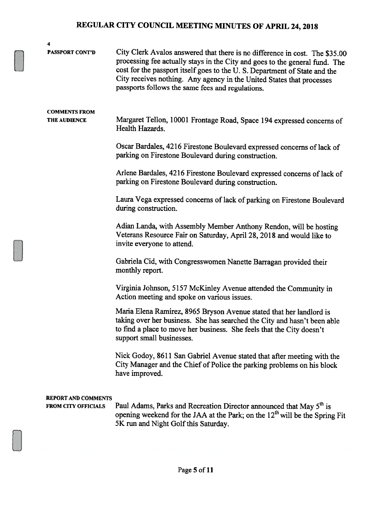| 4                                                        |                                                                                                                                                                                                                                                                                                                                                                      |
|----------------------------------------------------------|----------------------------------------------------------------------------------------------------------------------------------------------------------------------------------------------------------------------------------------------------------------------------------------------------------------------------------------------------------------------|
| <b>PASSPORT CONT'D</b>                                   | City Clerk Avalos answered that there is no difference in cost. The \$35.00<br>processing fee actually stays in the City and goes to the general fund. The<br>cost for the passport itself goes to the U.S. Department of State and the<br>City receives nothing. Any agency in the United States that processes<br>passports follows the same fees and regulations. |
| <b>COMMENTS FROM</b><br><b>THE AUDIENCE</b>              | Margaret Tellon, 10001 Frontage Road, Space 194 expressed concerns of<br>Health Hazards.                                                                                                                                                                                                                                                                             |
|                                                          | Oscar Bardales, 4216 Firestone Boulevard expressed concerns of lack of<br>parking on Firestone Boulevard during construction.                                                                                                                                                                                                                                        |
|                                                          | Arlene Bardales, 4216 Firestone Boulevard expressed concerns of lack of<br>parking on Firestone Boulevard during construction.                                                                                                                                                                                                                                       |
|                                                          | Laura Vega expressed concerns of lack of parking on Firestone Boulevard<br>during construction.                                                                                                                                                                                                                                                                      |
|                                                          | Adian Landa, with Assembly Member Anthony Rendon, will be hosting<br>Veterans Resource Fair on Saturday, April 28, 2018 and would like to<br>invite everyone to attend.                                                                                                                                                                                              |
|                                                          | Gabriela Cid, with Congresswomen Nanette Barragan provided their<br>monthly report.                                                                                                                                                                                                                                                                                  |
|                                                          | Virginia Johnson, 5157 McKinley Avenue attended the Community in<br>Action meeting and spoke on various issues.                                                                                                                                                                                                                                                      |
|                                                          | Maria Elena Ramirez, 8965 Bryson Avenue stated that her landlord is<br>taking over her business. She has searched the City and hasn't been able<br>to find a place to move her business. She feels that the City doesn't<br>support small businesses.                                                                                                                |
|                                                          | Nick Godoy, 8611 San Gabriel Avenue stated that after meeting with the<br>City Manager and the Chief of Police the parking problems on his block<br>have improved.                                                                                                                                                                                                   |
| <b>REPORT AND COMMENTS</b><br><b>FROM CITY OFFICIALS</b> | Paul Adams, Parks and Recreation Director announced that May 5 <sup>th</sup> is<br>opening weekend for the JAA at the Park; on the 12 <sup>th</sup> will be the Spring Fit<br>5K run and Night Golf this Saturday.                                                                                                                                                   |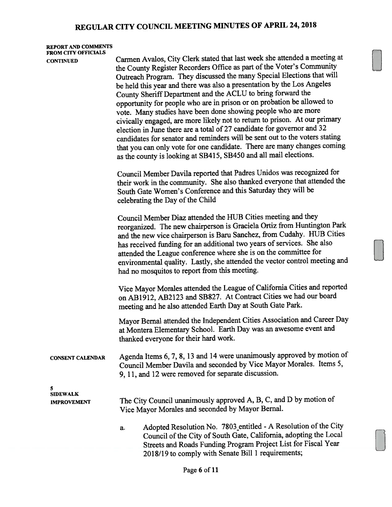#### REPORT AND COMMENTS FROM CITY OFFICIALS

CONTINUED Carmen Avalos, City Clerk stated that last week she attended <sup>a</sup> meeting at the County Register Recorders Office as part of the Voter's Community Outreach Program. They discussed the many Special Elections that will be held this year and there was also <sup>a</sup> presentation by the Los Angeles County Sheriff Department and the ACLU to bring forward the opportunity for people who are in prison or on probation be allowed to vote. Many studies have been done showing people who are more civically engaged, are more likely not to return to prison. At our primary election in June there are <sup>a</sup> total of <sup>27</sup> candidate for governor and 32 candidates for senator and reminders will be sent out to the voters stating that you can only vote for one candidate. There are many changes coming as the county is looking at SB415, SB450 and all mail elections. Council Member Davila reported that Padres Unidos was recognized for

their work in the community. She also thanked everyone that attended the South Gate Women's Conference and this Saturday they will be celebrating the Day of the Child

Council Member Diaz attended the HUB Cities meeting and they reorganized. The new chairperson is Graciela Ortiz from Huntington Park and the new vice chairperson is Baru Sanchez, from Cudahy. HUB Cities has received funding for an additional two years of services. She also attended the League conference where she is on the committee for environmental quality. Lastly, she attended the vector control meeting and had no mosquitos to repor<sup>t</sup> from this meeting.

Vice Mayor Morales attended the League of California Cities and reported on AB1912, AB2123 and SB827. At Contract Cities we had our board meeting and he also attended Earth Day at South Gate Park.

Mayor Bernal attended the Independent Cities Association and Career Day at Montera Elementary School. Earth Day was an awesome event and thanked everyone for their hard work.

CONSENT CALENDAR Agenda Items 6, 7, 8, <sup>13</sup> and <sup>14</sup> were unanimously approve<sup>d</sup> by motion of Council Member Davila and seconded by Vice Mayor Morales. Items 5, 9, 11, and <sup>12</sup> were removed for separate discussion.

5 SIDEWALK

- IMPROVEMENT The City Council unanimously approved A, B, C, and D by motion of Vice Mayor Morales and seconded by Mayor Bernal.
	- a. Adopted Resolution No. <sup>7803</sup> entitled -<sup>A</sup> Resolution of the City Council of the City of South Gate, California, adopting the Local Streets and Roads Funding Program Project List for Fiscal Year 2018/19 to comply with Senate Bill <sup>1</sup> requirements;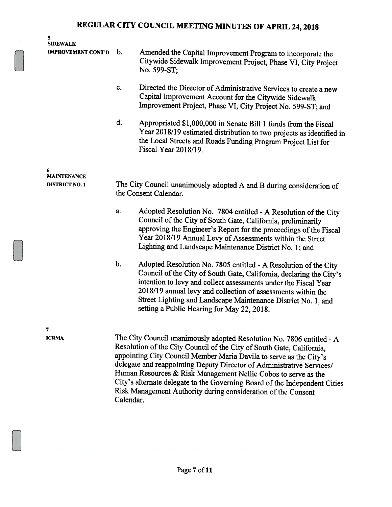| 5<br><b>SIDEWALK</b><br><b>IMPROVEMENT CONT'D</b> | b. | Amended the Capital Improvement Program to incorporate the<br>Citywide Sidewalk Improvement Project, Phase VI, City Project<br>No. 599-ST;                                                                                                                                                                                                                                               |
|---------------------------------------------------|----|------------------------------------------------------------------------------------------------------------------------------------------------------------------------------------------------------------------------------------------------------------------------------------------------------------------------------------------------------------------------------------------|
|                                                   | c. | Directed the Director of Administrative Services to create a new<br>Capital Improvement Account for the Citywide Sidewalk<br>Improvement Project, Phase VI, City Project No. 599-ST; and                                                                                                                                                                                                 |
|                                                   | d. | Appropriated \$1,000,000 in Senate Bill 1 funds from the Fiscal<br>Year 2018/19 estimated distribution to two projects as identified in<br>the Local Streets and Roads Funding Program Project List for<br>Fiscal Year 2018/19.                                                                                                                                                          |
| 6<br><b>MAINTENANCE</b>                           |    |                                                                                                                                                                                                                                                                                                                                                                                          |
| <b>DISTRICT NO. 1</b>                             |    | The City Council unanimously adopted A and B during consideration of<br>the Consent Calendar.                                                                                                                                                                                                                                                                                            |
|                                                   | a. | Adopted Resolution No. 7804 entitled - A Resolution of the City<br>Council of the City of South Gate, California, preliminarily<br>approving the Engineer's Report for the proceedings of the Fiscal<br>Year 2018/19 Annual Levy of Assessments within the Street<br>Lighting and Landscape Maintenance District No. 1; and                                                              |
|                                                   | b. | Adopted Resolution No. 7805 entitled - A Resolution of the City<br>Council of the City of South Gate, California, declaring the City's<br>intention to levy and collect assessments under the Fiscal Year<br>2018/19 annual levy and collection of assessments within the<br>Street Lighting and Landscape Maintenance District No. 1, and<br>setting a Public Hearing for May 22, 2018. |
| 7                                                 |    |                                                                                                                                                                                                                                                                                                                                                                                          |

ICRMA The City Council unanimously adopted Resolution No. 7806 entitled - A Resolution of the City Council of the City of South Gate, California, appointing City Council Member Maria Davila to serve as the City's delegate and reappointing Deputy Director of Administrative Services/ Human Resources & Risk Management Nellie Cobos to serve as the City's alternate delegate to the Governing Board of the Independent Cities Risk Management Authority during consideration of the Consent Calendar.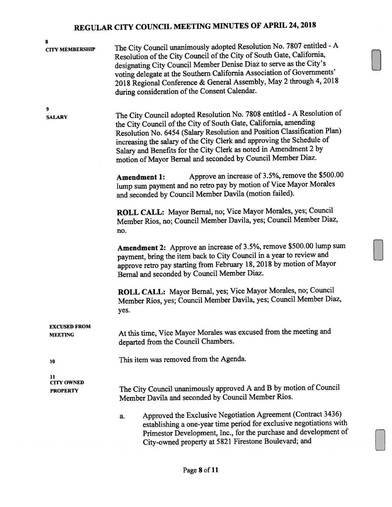| <b>CITY MEMBERSHIP</b>  | The City Council unanimously adopted Resolution No. 7807 entitled - A<br>Resolution of the City Council of the City of South Gate, California,<br>designating City Council Member Denise Diaz to serve as the City's<br>voting delegate at the Southern California Association of Governments'<br>2018 Regional Conference & General Assembly, May 2 through 4, 2018<br>during consideration of the Consent Calendar. |
|-------------------------|-----------------------------------------------------------------------------------------------------------------------------------------------------------------------------------------------------------------------------------------------------------------------------------------------------------------------------------------------------------------------------------------------------------------------|
| 9                       | The City Council adopted Resolution No. 7808 entitled - A Resolution of                                                                                                                                                                                                                                                                                                                                               |
| <b>SALARY</b>           | the City Council of the City of South Gate, California, amending<br>Resolution No. 6454 (Salary Resolution and Position Classification Plan)<br>increasing the salary of the City Clerk and approving the Schedule of<br>Salary and Benefits for the City Clerk as noted in Amendment 2 by<br>motion of Mayor Bernal and seconded by Council Member Diaz.                                                             |
|                         | Approve an increase of 3.5%, remove the \$500.00<br><b>Amendment 1:</b><br>lump sum payment and no retro pay by motion of Vice Mayor Morales<br>and seconded by Council Member Davila (motion failed).                                                                                                                                                                                                                |
|                         | ROLL CALL: Mayor Bernal, no; Vice Mayor Morales, yes; Council<br>Member Rios, no; Council Member Davila, yes; Council Member Diaz,<br>no.                                                                                                                                                                                                                                                                             |
|                         | Amendment 2: Approve an increase of 3.5%, remove \$500.00 lump sum<br>payment, bring the item back to City Council in a year to review and<br>approve retro pay starting from February 18, 2018 by motion of Mayor<br>Bernal and seconded by Council Member Diaz.                                                                                                                                                     |
|                         | ROLL CALL: Mayor Bernal, yes; Vice Mayor Morales, no; Council<br>Member Rios, yes; Council Member Davila, yes; Council Member Diaz,<br>yes.                                                                                                                                                                                                                                                                           |
| <b>EXCUSED FROM</b>     |                                                                                                                                                                                                                                                                                                                                                                                                                       |
| <b>MEETING</b>          | At this time, Vice Mayor Morales was excused from the meeting and<br>departed from the Council Chambers.                                                                                                                                                                                                                                                                                                              |
| 10                      | This item was removed from the Agenda.                                                                                                                                                                                                                                                                                                                                                                                |
| 11<br><b>CITY OWNED</b> |                                                                                                                                                                                                                                                                                                                                                                                                                       |
| <b>PROPERTY</b>         | The City Council unanimously approved A and B by motion of Council<br>Member Davila and seconded by Council Member Rios.                                                                                                                                                                                                                                                                                              |
|                         | Approved the Exclusive Negotiation Agreement (Contract 3436)<br>a.<br>establishing a one-year time period for exclusive negotiations with<br>Primestor Development, Inc., for the purchase and development of<br>City-owned property at 5821 Firestone Boulevard; and                                                                                                                                                 |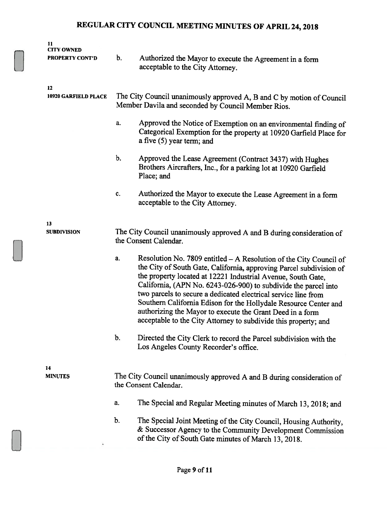| 11<br><b>CITY OWNED</b><br><b>PROPERTY CONT'D</b> | b.                                                                                                                          | Authorized the Mayor to execute the Agreement in a form<br>acceptable to the City Attorney.                                                                                                                                                                                                                                                                                                                                                                                                                                                        |
|---------------------------------------------------|-----------------------------------------------------------------------------------------------------------------------------|----------------------------------------------------------------------------------------------------------------------------------------------------------------------------------------------------------------------------------------------------------------------------------------------------------------------------------------------------------------------------------------------------------------------------------------------------------------------------------------------------------------------------------------------------|
| 12                                                |                                                                                                                             |                                                                                                                                                                                                                                                                                                                                                                                                                                                                                                                                                    |
| 10920 GARFIELD PLACE                              | The City Council unanimously approved A, B and C by motion of Council<br>Member Davila and seconded by Council Member Rios. |                                                                                                                                                                                                                                                                                                                                                                                                                                                                                                                                                    |
|                                                   | a.                                                                                                                          | Approved the Notice of Exemption on an environmental finding of<br>Categorical Exemption for the property at 10920 Garfield Place for<br>a five (5) year term; and                                                                                                                                                                                                                                                                                                                                                                                 |
|                                                   | b.                                                                                                                          | Approved the Lease Agreement (Contract 3437) with Hughes<br>Brothers Aircrafters, Inc., for a parking lot at 10920 Garfield<br>Place; and                                                                                                                                                                                                                                                                                                                                                                                                          |
|                                                   | c.                                                                                                                          | Authorized the Mayor to execute the Lease Agreement in a form<br>acceptable to the City Attorney.                                                                                                                                                                                                                                                                                                                                                                                                                                                  |
|                                                   |                                                                                                                             |                                                                                                                                                                                                                                                                                                                                                                                                                                                                                                                                                    |
| 13<br><b>SUBDIVISION</b>                          | The City Council unanimously approved A and B during consideration of<br>the Consent Calendar.                              |                                                                                                                                                                                                                                                                                                                                                                                                                                                                                                                                                    |
|                                                   | a.                                                                                                                          | Resolution No. 7809 entitled - A Resolution of the City Council of<br>the City of South Gate, California, approving Parcel subdivision of<br>the property located at 12221 Industrial Avenue, South Gate,<br>California, (APN No. 6243-026-900) to subdivide the parcel into<br>two parcels to secure a dedicated electrical service line from<br>Southern California Edison for the Hollydale Resource Center and<br>authorizing the Mayor to execute the Grant Deed in a form<br>acceptable to the City Attorney to subdivide this property; and |
|                                                   | b.                                                                                                                          | Directed the City Clerk to record the Parcel subdivision with the<br>Los Angeles County Recorder's office.                                                                                                                                                                                                                                                                                                                                                                                                                                         |
|                                                   |                                                                                                                             |                                                                                                                                                                                                                                                                                                                                                                                                                                                                                                                                                    |
| 14<br><b>MINUTES</b>                              |                                                                                                                             | The City Council unanimously approved A and B during consideration of<br>the Consent Calendar.                                                                                                                                                                                                                                                                                                                                                                                                                                                     |
|                                                   | a.                                                                                                                          | The Special and Regular Meeting minutes of March 13, 2018; and                                                                                                                                                                                                                                                                                                                                                                                                                                                                                     |
|                                                   | b.                                                                                                                          | The Special Joint Meeting of the City Council, Housing Authority,<br>& Successor Agency to the Community Development Commission<br>of the City of South Gate minutes of March 13, 2018.                                                                                                                                                                                                                                                                                                                                                            |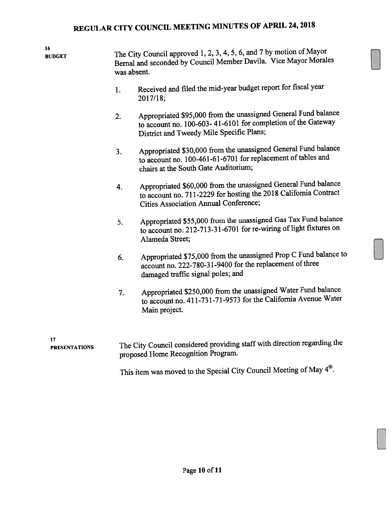16

 $\overline{\text{BUDGET}}$  The City Council approved 1, 2, 3, 4, 5, 6, and 7 by motion of Mayor Bernal and seconded by Council Member Davila. Vice Mayor Morales was absent.

- 1. Received and filed the mid-year budget repor<sup>t</sup> for fiscal year 2017/18;
- 2. Appropriated \$95,000 from the unassigned General Fund balance to account no. 100-603- 41-6101 for completion of the Gateway District and Tweedy Mile Specific Plans;
- 3. Appropriated \$30,000 from the unassigned General Fund balance to account no. 100-461-61-6701 for replacement of tables and chairs at the South Gate Auditorium;
- 4. Appropriated \$60,000 from the unassigned General Fund balance to account no. 711-2229 for hosting the <sup>2018</sup> California Contract Cities Association Annual Conference;
- 5. Appropriated \$55,000 from the unassigned Gas Tax Fund balance to account no. 212-713-31-6701 for re-wiring of light fixtures on Alameda Street;
- 6. Appropriated \$75,000 from the unassigned Prop <sup>C</sup> Fund balance to account no. 222-780-31-9400 for the replacement of three damaged traffic signal poles; and
- 7. Appropriated \$250,000 from the unassigned Water Fund balance to account no. 411-731-71-9573 for the California Avenue Water Main project.

17

PRESENTATIONS The City Council considered providing staff with direction regarding the propose<sup>d</sup> Home Recognition Program.

This item was moved to the Special City Council Meeting of May 4<sup>th</sup>.

E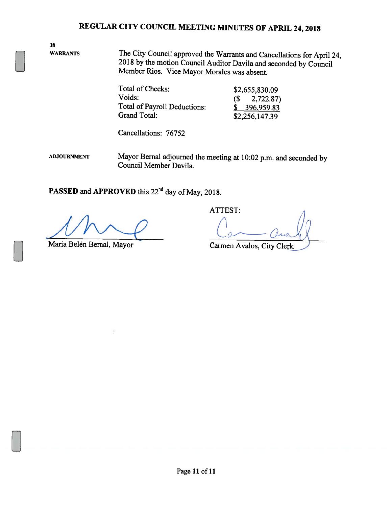18

WARRANTS The City Council approved the Warrants and Cancellations for April 24, <sup>2018</sup> by the motion Council Auditor Davila and seconded by Council Member Rios. Vice Mayor Morales was absent.

| Total of Checks:                    | \$2,655,830.09    |  |
|-------------------------------------|-------------------|--|
| Voids:                              | $(S \t 2,722.87)$ |  |
| <b>Total of Payroll Deductions:</b> | \$396,959.83      |  |
| Grand Total:                        | \$2,256,147.39    |  |

Cancellations: 76752

ADJOURNMENT Mayor Bernal adjourned the meeting at 10:02 p.m. and seconded by Council Member Davila.

PASSED and APPROVED this 22<sup>nd</sup> day of May, 2018.

María Belén Bernal, Mayor Carmen Avalos, City Clerk

ATTEST: